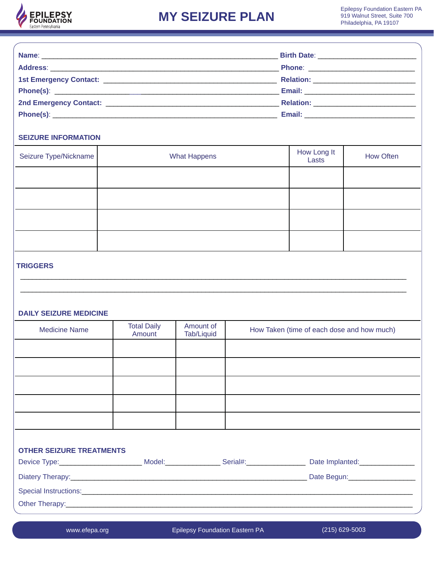

| <b>SEIZURE INFORMATION</b>                       |                              |                         |  |                                            |                  |
|--------------------------------------------------|------------------------------|-------------------------|--|--------------------------------------------|------------------|
| Seizure Type/Nickname                            | <b>What Happens</b>          |                         |  | How Long It<br>Lasts                       | <b>How Often</b> |
|                                                  |                              |                         |  |                                            |                  |
|                                                  |                              |                         |  |                                            |                  |
| <b>TRIGGERS</b><br><b>DAILY SEIZURE MEDICINE</b> |                              |                         |  |                                            |                  |
| <b>Medicine Name</b>                             | <b>Total Daily</b><br>Amount | Amount of<br>Tab/Liquid |  | How Taken (time of each dose and how much) |                  |
|                                                  |                              |                         |  |                                            |                  |
| <b>OTHER SEIZURE TREATMENTS</b>                  |                              |                         |  |                                            |                  |
|                                                  |                              |                         |  |                                            |                  |